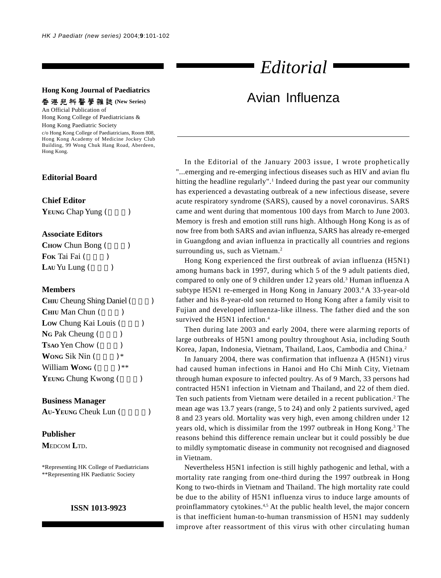#### **Hong Kong Journal of Paediatrics**

**香港兒科醫學雜誌 (New Series)** 

An Official Publication of Hong Kong College of Paediatricians &

Hong Kong Paediatric Society c/o Hong Kong College of Paediatricians, Room 808, Hong Kong Academy of Medicine Jockey Club Building, 99 Wong Chuk Hang Road, Aberdeen, Hong Kong.

# **Editorial Board**

#### **Chief Editor**

| <b>YEUNG Chap Yung (</b> |  |  |  |  |
|--------------------------|--|--|--|--|
|--------------------------|--|--|--|--|

## **Associate Editors**

| <b>CHOW</b> Chun Bong ( |  |
|-------------------------|--|
| <b>Fok Tai Fai</b> (    |  |
| Lau Yu Lung (           |  |

### **Members**

| <b>CHIU</b> Cheung Shing Daniel ( |  |
|-----------------------------------|--|
| <b>Снии Мап Chun</b> (            |  |
| Low Chung Kai Louis (             |  |
| NG Pak Cheung (                   |  |
| <b>Tsao Yen Chow</b> (            |  |
| <b>WONG Sik Nin (</b><br>∗        |  |
| William Wong (<br>) **            |  |
| YEUNG Chung Kwong (               |  |

#### **Business Manager**

AU-YEUNG Cheuk Lun ()

# **Publisher**

**M**EDCOM **L**TD.

\*Representing HK College of Paediatricians \*\*Representing HK Paediatric Society

#### **ISSN 1013-9923**

# *Editorial*

# Avian Influenza

In the Editorial of the January 2003 issue, I wrote prophetically "...emerging and re-emerging infectious diseases such as HIV and avian flu hitting the headline regularly".<sup>1</sup> Indeed during the past year our community has experienced a devastating outbreak of a new infectious disease, severe acute respiratory syndrome (SARS), caused by a novel coronavirus. SARS came and went during that momentous 100 days from March to June 2003. Memory is fresh and emotion still runs high. Although Hong Kong is as of now free from both SARS and avian influenza, SARS has already re-emerged in Guangdong and avian influenza in practically all countries and regions surrounding us, such as Vietnam.<sup>2</sup>

Hong Kong experienced the first outbreak of avian influenza (H5N1) among humans back in 1997, during which 5 of the 9 adult patients died, compared to only one of 9 children under 12 years old.<sup>3</sup> Human influenza A subtype H5N1 re-emerged in Hong Kong in January 2003.<sup>4</sup> A 33-year-old father and his 8-year-old son returned to Hong Kong after a family visit to Fujian and developed influenza-like illness. The father died and the son survived the H5N1 infection.<sup>4</sup>

Then during late 2003 and early 2004, there were alarming reports of large outbreaks of H5N1 among poultry throughout Asia, including South Korea, Japan, Indonesia, Vietnam, Thailand, Laos, Cambodia and China.2

In January 2004, there was confirmation that influenza A (H5N1) virus had caused human infections in Hanoi and Ho Chi Minh City, Vietnam through human exposure to infected poultry. As of 9 March, 33 persons had contracted H5N1 infection in Vietnam and Thailand, and 22 of them died. Ten such patients from Vietnam were detailed in a recent publication.<sup>2</sup> The mean age was 13.7 years (range, 5 to 24) and only 2 patients survived, aged 8 and 23 years old. Mortality was very high, even among children under 12 years old, which is dissimilar from the 1997 outbreak in Hong Kong.<sup>3</sup> The reasons behind this difference remain unclear but it could possibly be due to mildly symptomatic disease in community not recognised and diagnosed in Vietnam.

Nevertheless H5N1 infection is still highly pathogenic and lethal, with a mortality rate ranging from one-third during the 1997 outbreak in Hong Kong to two-thirds in Vietnam and Thailand. The high mortality rate could be due to the ability of H5N1 influenza virus to induce large amounts of proinflammatory cytokines.<sup>4,5</sup> At the public health level, the major concern is that inefficient human-to-human transmission of H5N1 may suddenly improve after reassortment of this virus with other circulating human